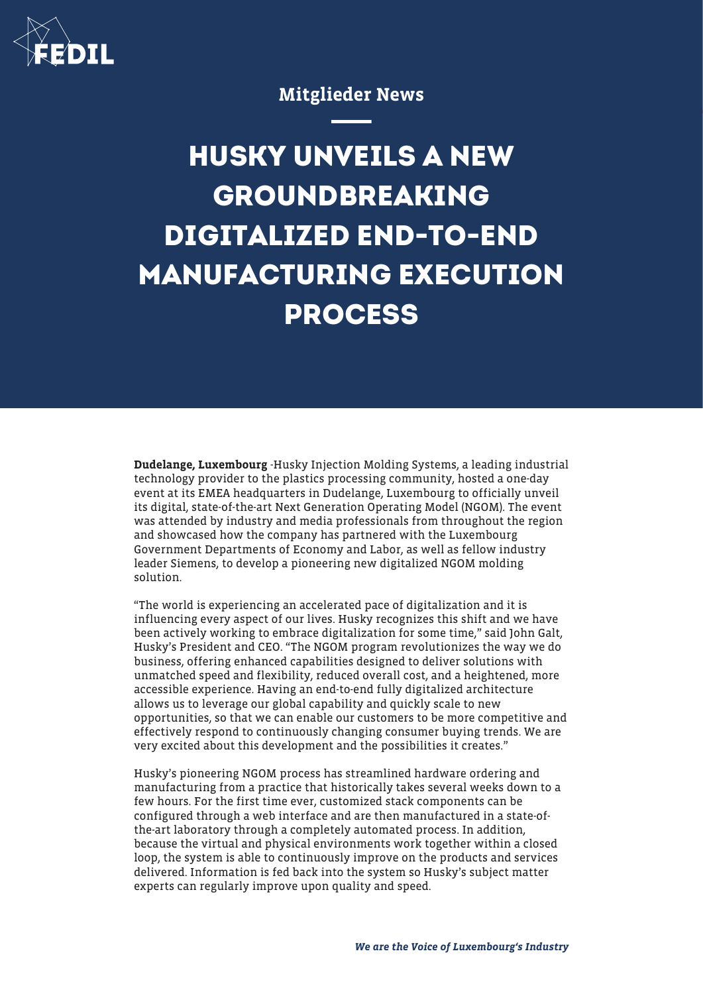

Mitglieder News

## **HUSKY UNVEILS A NEW GROUNDBREAKING DIGITALIZED END-TO-END MANUFACTURING EXECUTION PROCESS**

Dudelange, Luxembourg -Husky Injection Molding Systems, a leading industrial technology provider to the plastics processing community, hosted a one-day event at its EMEA headquarters in Dudelange, Luxembourg to officially unveil its digital, state-of-the-art Next Generation Operating Model (NGOM). The event was attended by industry and media professionals from throughout the region and showcased how the company has partnered with the Luxembourg Government Departments of Economy and Labor, as well as fellow industry leader Siemens, to develop a pioneering new digitalized NGOM molding solution.

"The world is experiencing an accelerated pace of digitalization and it is influencing every aspect of our lives. Husky recognizes this shift and we have been actively working to embrace digitalization for some time," said John Galt, Husky's President and CEO. "The NGOM program revolutionizes the way we do business, offering enhanced capabilities designed to deliver solutions with unmatched speed and flexibility, reduced overall cost, and a heightened, more accessible experience. Having an end-to-end fully digitalized architecture allows us to leverage our global capability and quickly scale to new opportunities, so that we can enable our customers to be more competitive and effectively respond to continuously changing consumer buying trends. We are very excited about this development and the possibilities it creates."

Husky's pioneering NGOM process has streamlined hardware ordering and manufacturing from a practice that historically takes several weeks down to a few hours. For the first time ever, customized stack components can be configured through a web interface and are then manufactured in a state-ofthe-art laboratory through a completely automated process. In addition, because the virtual and physical environments work together within a closed loop, the system is able to continuously improve on the products and services delivered. Information is fed back into the system so Husky's subject matter experts can regularly improve upon quality and speed.